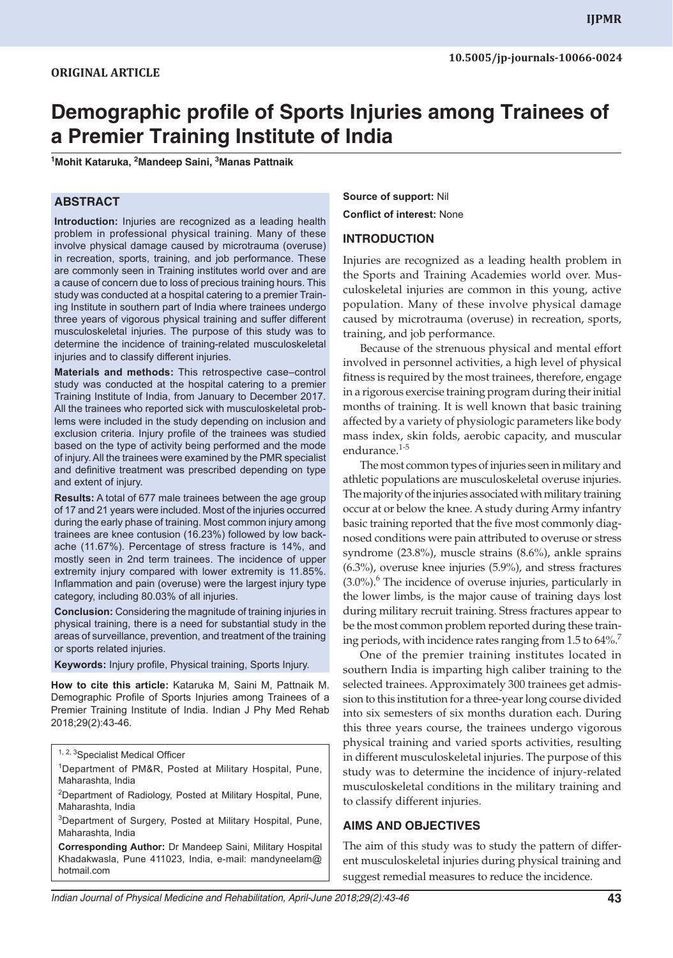# **Demographic profile of Sports Injuries among Trainees of a Premier Training Institute of India**

**1 Mohit Kataruka, <sup>2</sup> Mandeep Saini, <sup>3</sup> Manas Pattnaik**

#### **ABSTRACT**

**Introduction:** Injuries are recognized as a leading health problem in professional physical training. Many of these involve physical damage caused by microtrauma (overuse) in recreation, sports, training, and job performance. These are commonly seen in Training institutes world over and are a cause of concern due to loss of precious training hours. This study was conducted at a hospital catering to a premier Training Institute in southern part of India where trainees undergo three years of vigorous physical training and suffer different musculoskeletal injuries. The purpose of this study was to determine the incidence of training-related musculoskeletal injuries and to classify different injuries.

**Materials and methods:** This retrospective case–control study was conducted at the hospital catering to a premier Training Institute of India, from January to December 2017. All the trainees who reported sick with musculoskeletal problems were included in the study depending on inclusion and exclusion criteria. Injury profile of the trainees was studied based on the type of activity being performed and the mode of injury. All the trainees were examined by the PMR specialist and definitive treatment was prescribed depending on type and extent of injury.

**Results:** A total of 677 male trainees between the age group of 17 and 21 years were included. Most of the injuries occurred during the early phase of training. Most common injury among trainees are knee contusion (16.23%) followed by low backache (11.67%). Percentage of stress fracture is 14%, and mostly seen in 2nd term trainees. The incidence of upper extremity injury compared with lower extremity is 11.85%. Inflammation and pain (overuse) were the largest injury type category, including 80.03% of all injuries.

**Conclusion:** Considering the magnitude of training injuries in physical training, there is a need for substantial study in the areas of surveillance, prevention, and treatment of the training or sports related injuries.

**Keywords:** Injury profile, Physical training, Sports Injury.

**How to cite this article:** Kataruka M, Saini M, Pattnaik M. Demographic Profile of Sports Injuries among Trainees of a Premier Training Institute of India. Indian J Phy Med Rehab 2018;29(2):43-46.

<sup>1</sup>Department of PM&R, Posted at Military Hospital, Pune, Maharashta, India

<sup>2</sup>Department of Radiology, Posted at Military Hospital, Pune, Maharashta, India

3 Department of Surgery, Posted at Military Hospital, Pune, Maharashta, India

**Corresponding Author:** Dr Mandeep Saini, Military Hospital Khadakwasla, Pune 411023, India, e-mail: mandyneelam@ hotmail.com

**Source of support:** Nil **Conflict of interest:** None

#### **INTRODUCTION**

Injuries are recognized as a leading health problem in the Sports and Training Academies world over. Musculoskeletal injuries are common in this young, active population. Many of these involve physical damage caused by microtrauma (overuse) in recreation, sports, training, and job performance.

Because of the strenuous physical and mental effort involved in personnel activities, a high level of physical fitness is required by the most trainees, therefore, engage in a rigorous exercise training program during their initial months of training. It is well known that basic training affected by a variety of physiologic parameters like body mass index, skin folds, aerobic capacity, and muscular endurance.<sup>1-5</sup>

The most common types of injuries seen in military and athletic populations are musculoskeletal overuse injuries. The majority of the injuries associated with military training occur at or below the knee. A study during Army infantry basic training reported that the five most commonly diagnosed conditions were pain attributed to overuse or stress syndrome (23.8%), muscle strains (8.6%), ankle sprains (6.3%), overuse knee injuries (5.9%), and stress fractures  $(3.0\%)$ .<sup>6</sup> The incidence of overuse injuries, particularly in the lower limbs, is the major cause of training days lost during military recruit training. Stress fractures appear to be the most common problem reported during these training periods, with incidence rates ranging from  $1.5$  to  $64\%$ .

One of the premier training institutes located in southern India is imparting high caliber training to the selected trainees. Approximately 300 trainees get admission to this institution for a three-year long course divided into six semesters of six months duration each. During this three years course, the trainees undergo vigorous physical training and varied sports activities, resulting in different musculoskeletal injuries. The purpose of this study was to determine the incidence of injury-related musculoskeletal conditions in the military training and to classify different injuries.

#### **AIMS AND OBJECTIVES**

The aim of this study was to study the pattern of different musculoskeletal injuries during physical training and suggest remedial measures to reduce the incidence.

<sup>1, 2, 3</sup>Specialist Medical Officer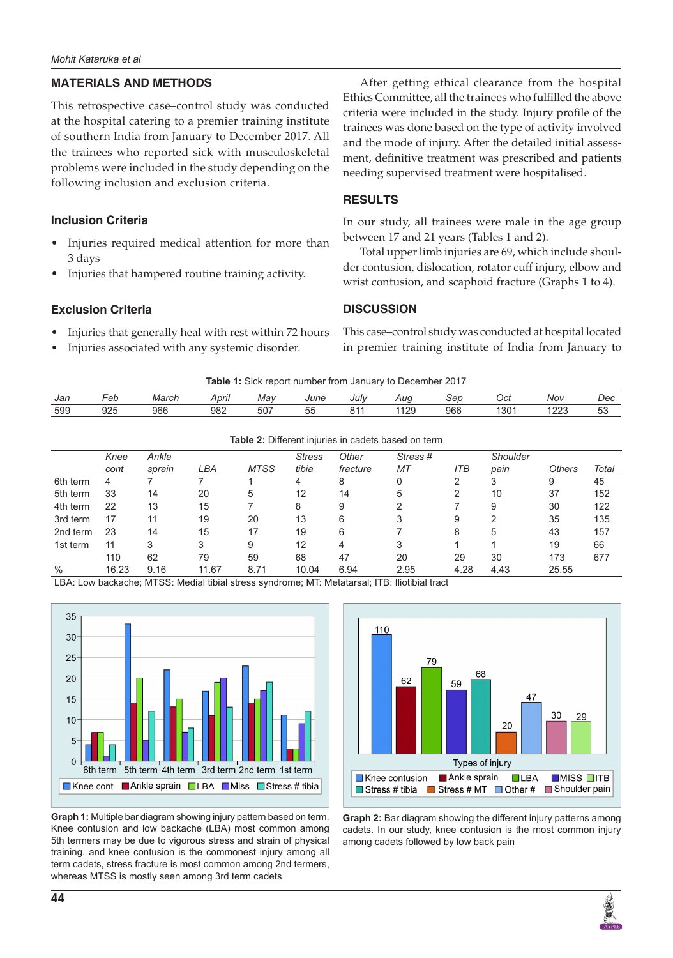#### **MATERIALS AND METHODS**

This retrospective case–control study was conducted at the hospital catering to a premier training institute of southern India from January to December 2017. All the trainees who reported sick with musculoskeletal problems were included in the study depending on the following inclusion and exclusion criteria.

### **Inclusion Criteria**

- Injuries required medical attention for more than 3 days
- Injuries that hampered routine training activity.

## **Exclusion Criteria**

- Injuries that generally heal with rest within 72 hours
- Injuries associated with any systemic disorder.

After getting ethical clearance from the hospital Ethics Committee, all the trainees who fulfilled the above criteria were included in the study. Injury profile of the trainees was done based on the type of activity involved and the mode of injury. After the detailed initial assessment, definitive treatment was prescribed and patients needing supervised treatment were hospitalised.

## **RESULTS**

In our study, all trainees were male in the age group between 17 and 21 years (Tables 1 and 2).

Total upper limb injuries are 69, which include shoulder contusion, dislocation, rotator cuff injury, elbow and wrist contusion, and scaphoid fracture (Graphs 1 to 4).

#### **DISCUSSION**

This case–control study was conducted at hospital located in premier training institute of India from January to

|  |  |  | Table 1: Sick report number from January to December 2017 |  |
|--|--|--|-----------------------------------------------------------|--|
|  |  |  |                                                           |  |

| Jan | $\overline{\phantom{0}}$<br>-eb | March | April | Mav | June                        | July | Auq  | Sep | Oct | Nov  | Dec       |
|-----|---------------------------------|-------|-------|-----|-----------------------------|------|------|-----|-----|------|-----------|
| 599 | 925                             | 966   | 982   | 507 | $ -$<br>$\sim$ $\sim$<br>JJ | 044  | 1129 | 966 | 301 | 1223 | E O<br>JJ |

**Table 2:** Different injuries in cadets based on term

|          | Knee<br>cont | Ankle<br>sprain | LBA   | <b>MTSS</b> | <b>Stress</b><br>tibia | Other<br>fracture | Stress#<br>МT | ITB  | Shoulder<br>pain | <b>Others</b> | Total |
|----------|--------------|-----------------|-------|-------------|------------------------|-------------------|---------------|------|------------------|---------------|-------|
| 6th term | 4            |                 |       |             | 4                      | 8                 | 0             | っ    | 3                | 9             | 45    |
| 5th term | 33           | 14              | 20    | 5           | 12                     | 14                | 5             |      | 10               | 37            | 152   |
| 4th term | 22           | 13              | 15    |             | 8                      | 9                 | っ             |      | 9                | 30            | 122   |
| 3rd term | 17           | 11              | 19    | 20          | 13                     | 6                 | 3             | 9    | 2                | 35            | 135   |
| 2nd term | 23           | 14              | 15    | 17          | 19                     | 6                 |               | 8    | 5                | 43            | 157   |
| 1st term | 11           | 3               | 3     | 9           | 12                     | 4                 | 3             |      |                  | 19            | 66    |
|          | 110          | 62              | 79    | 59          | 68                     | 47                | 20            | 29   | 30               | 173           | 677   |
| $\%$     | 16.23        | 9.16            | 11.67 | 8.71        | 10.04                  | 6.94              | 2.95          | 4.28 | 4.43             | 25.55         |       |

LBA: Low backache; MTSS: Medial tibial stress syndrome; MT: Metatarsal; ITB: Iliotibial tract





**Graph 1:** Multiple bar diagram showing injury pattern based on term. Knee contusion and low backache (LBA) most common among 5th termers may be due to vigorous stress and strain of physical training, and knee contusion is the commonest injury among all term cadets, stress fracture is most common among 2nd termers, whereas MTSS is mostly seen among 3rd term cadets



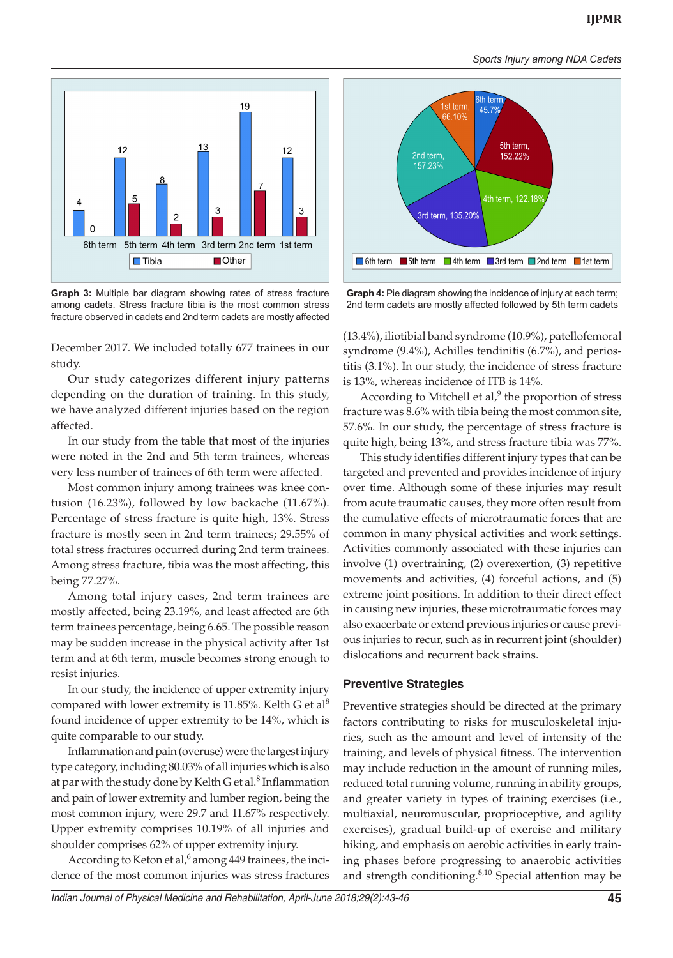*Sports Injury among NDA Cadets*



**Graph 3:** Multiple bar diagram showing rates of stress fracture among cadets. Stress fracture tibia is the most common stress fracture observed in cadets and 2nd term cadets are mostly affected

December 2017. We included totally 677 trainees in our study.

Our study categorizes different injury patterns depending on the duration of training. In this study, we have analyzed different injuries based on the region affected.

In our study from the table that most of the injuries were noted in the 2nd and 5th term trainees, whereas very less number of trainees of 6th term were affected.

Most common injury among trainees was knee contusion (16.23%), followed by low backache (11.67%). Percentage of stress fracture is quite high, 13%. Stress fracture is mostly seen in 2nd term trainees; 29.55% of total stress fractures occurred during 2nd term trainees. Among stress fracture, tibia was the most affecting, this being 77.27%.

Among total injury cases, 2nd term trainees are mostly affected, being 23.19%, and least affected are 6th term trainees percentage, being 6.65. The possible reason may be sudden increase in the physical activity after 1st term and at 6th term, muscle becomes strong enough to resist injuries.

In our study, the incidence of upper extremity injury compared with lower extremity is 11.85%. Kelth G et al<sup>8</sup> found incidence of upper extremity to be 14%, which is quite comparable to our study.

Inflammation and pain (overuse) were the largest injury type category, including 80.03% of all injuries which is also at par with the study done by Kelth G et al.<sup>8</sup> Inflammation and pain of lower extremity and lumber region, being the most common injury, were 29.7 and 11.67% respectively. Upper extremity comprises 10.19% of all injuries and shoulder comprises 62% of upper extremity injury.

According to Keton et al,<sup>6</sup> among 449 trainees, the incidence of the most common injuries was stress fractures



**Graph 4:** Pie diagram showing the incidence of injury at each term; 2nd term cadets are mostly affected followed by 5th term cadets

(13.4%), iliotibial band syndrome (10.9%), patellofemoral syndrome (9.4%), Achilles tendinitis (6.7%), and periostitis (3.1%). In our study, the incidence of stress fracture is 13%, whereas incidence of ITB is 14%.

According to Mitchell et al, $9$  the proportion of stress fracture was 8.6% with tibia being the most common site, 57.6%. In our study, the percentage of stress fracture is quite high, being 13%, and stress fracture tibia was 77%.

This study identifies different injury types that can be targeted and prevented and provides incidence of injury over time. Although some of these injuries may result from acute traumatic causes, they more often result from the cumulative effects of microtraumatic forces that are common in many physical activities and work settings. Activities commonly associated with these injuries can involve (1) overtraining, (2) overexertion, (3) repetitive movements and activities, (4) forceful actions, and (5) extreme joint positions. In addition to their direct effect in causing new injuries, these microtraumatic forces may also exacerbate or extend previous injuries or cause previous injuries to recur, such as in recurrent joint (shoulder) dislocations and recurrent back strains.

#### **Preventive Strategies**

Preventive strategies should be directed at the primary factors contributing to risks for musculoskeletal injuries, such as the amount and level of intensity of the training, and levels of physical fitness. The intervention may include reduction in the amount of running miles, reduced total running volume, running in ability groups, and greater variety in types of training exercises (i.e., multiaxial, neuromuscular, proprioceptive, and agility exercises), gradual build-up of exercise and military hiking, and emphasis on aerobic activities in early training phases before progressing to anaerobic activities and strength conditioning. $8,10$  Special attention may be